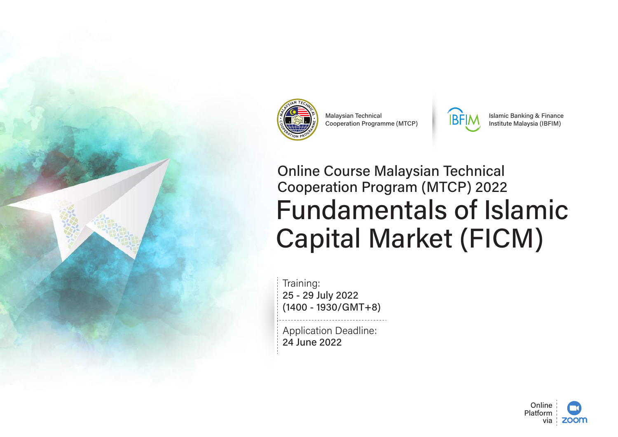

**Malaysian Technical** Cooperation Programme (MTCP)



**Islamic Banking & Finance** Institute Malaysia (IBFIM)

# **Online Course Malaysian Technical Cooperation Program (MTCP) 2022 Fundamentals of Islamic Capital Market (FICM)**

Training: 25 - 29 July 2022  $(1400 - 1930/GMT + 8)$ 

**Application Deadline:** 24 June 2022

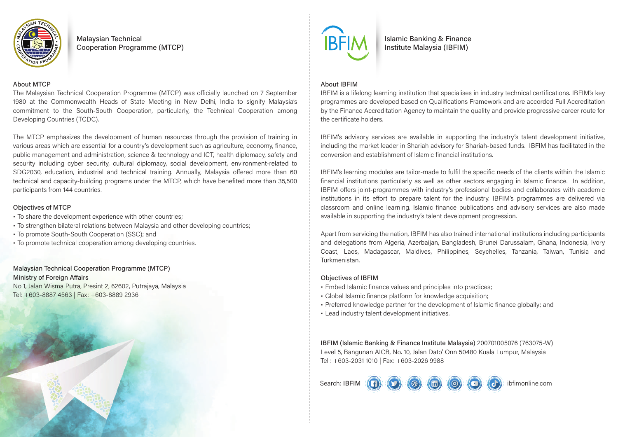

**Malaysian Technical Cooperation Programme (MTCP)** 

#### **About MTCP**

The Malaysian Technical Cooperation Programme (MTCP) was officially launched on 7 September 1980 at the Commonwealth Heads of State Meeting in New Delhi, India to signify Malaysia's commitment to the South-South Cooperation, particularly, the Technical Cooperation among Developing Countries (TCDC).

The MTCP emphasizes the development of human resources through the provision of training in various areas which are essential for a country's development such as agriculture, economy, finance, public management and administration, science & technology and ICT, health diplomacy, safety and security including cyber security, cultural diplomacy, social development, environment-related to SDG2030, education, industrial and technical training, Annually, Malaysia offered more than 60 technical and capacity-building programs under the MTCP, which have benefited more than 35,500 participants from 144 countries.

#### **Objectives of MTCP**

- To share the development experience with other countries;
- · To strengthen bilateral relations between Malaysia and other developing countries;
- To promote South-South Cooperation (SSC); and
- To promote technical cooperation among developing countries.

### **Malaysian Technical Cooperation Programme (MTCP) Ministry of Foreign Affairs**

No 1, Jalan Wisma Putra, Presint 2, 62602, Putrajaya, Malaysia Tel: +603-8887 4563 | Fax: +603-8889 2936





**Islamic Banking & Finance** Institute Malaysia (IBFIM)

#### **About IBFIM**

IBFIM is a lifelong learning institution that specialises in industry technical certifications. IBFIM's key programmes are developed based on Qualifications Framework and are accorded Full Accreditation by the Finance Accreditation Agency to maintain the quality and provide progressive career route for the certificate holders.

IBFIM's advisory services are available in supporting the industry's talent development initiative. including the market leader in Shariah advisory for Shariah-based funds. IBFIM has facilitated in the conversion and establishment of Islamic financial institutions.

IBFIM's learning modules are tailor-made to fulfil the specific needs of the clients within the Islamic financial institutions particularly as well as other sectors engaging in Islamic finance. In addition, IBFIM offers joint-programmes with industry's professional bodies and collaborates with academic institutions in its effort to prepare talent for the industry. IBFIM's programmes are delivered via classroom and online learning. Islamic finance publications and advisory services are also made available in supporting the industry's talent development progression.

Apart from servicing the nation, IBFIM has also trained international institutions including participants and delegations from Algeria, Azerbaijan, Bangladesh, Brunei Darussalam, Ghana, Indonesia, Ivory Coast, Laos, Madagascar, Maldives, Philippines, Sevchelles, Tanzania, Taiwan, Tunisia and Turkmenistan.

#### **Obiectives of IBFIM**

- · Embed Islamic finance values and principles into practices;
- · Global Islamic finance platform for knowledge acquisition;
- Preferred knowledge partner for the development of Islamic finance globally; and
- Lead industry talent development initiatives.

IBFIM (Islamic Banking & Finance Institute Malaysia) 200701005076 (763075-W) Level 5, Bangunan AICB, No. 10, Jalan Dato' Onn 50480 Kuala Lumpur, Malaysia Tel: +603-2031 1010 | Fax: +603-2026 9988

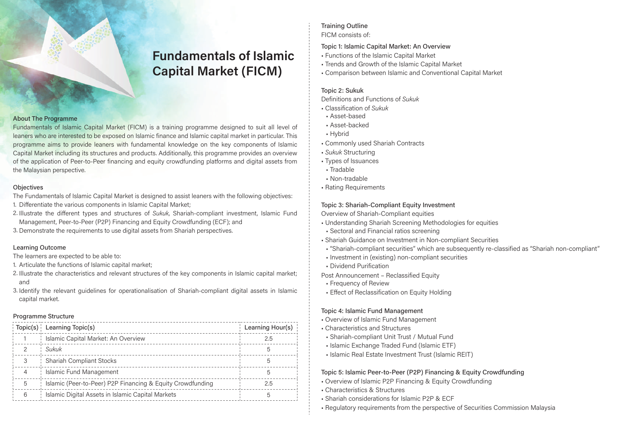# **Fundamentals of Islamic Capital Market (FICM)**

#### **About The Programme**

Fundamentals of Islamic Capital Market (FICM) is a training programme designed to suit all level of leaners who are interested to be exposed on Islamic finance and Islamic capital market in particular. This programme aims to provide leaners with fundamental knowledge on the key components of Islamic Capital Market including its structures and products, Additionally, this programme provides an overview of the application of Peer-to-Peer financing and equity crowdfunding platforms and digital assets from the Malaysian perspective.

#### Objectives

The Fundamentals of Islamic Capital Market is designed to assist leaners with the following objectives:

- 1. Differentiate the various components in Islamic Capital Market;
- 2. Illustrate the different types and structures of Sukuk, Shariah-compliant investment, Islamic Fund Management, Peer-to-Peer (P2P) Financing and Equity Crowdfunding (ECF); and
- 3. Demonstrate the requirements to use digital assets from Shariah perspectives.

#### **Learning Outcome**

The learners are expected to be able to:

- 1. Articulate the functions of Islamic capital market:
- 2. Illustrate the characteristics and relevant structures of the key components in Islamic capital market; and
- 3. Identify the relevant quidelines for operationalisation of Shariah-compliant digital assets in Islamic capital market.

#### Programme Structure

| Topic(s) | Learning Topic(s)                                          | Learning Hour(s) |
|----------|------------------------------------------------------------|------------------|
|          | Islamic Capital Market: An Overview                        | 2.5              |
|          | Sukuk                                                      |                  |
|          | Shariah Compliant Stocks                                   |                  |
|          | Islamic Fund Management                                    |                  |
|          | Islamic (Peer-to-Peer) P2P Financing & Equity Crowdfunding | 2.5              |
| 6        | Islamic Digital Assets in Islamic Capital Markets          |                  |

#### **Training Outline** FICM consists of:

#### Topic 1: Islamic Capital Market: An Overview

- Functions of the Islamic Capital Market
- Trends and Growth of the Islamic Capital Market
- Comparison between Islamic and Conventional Capital Market

#### Topic 2: Sukuk

Definitions and Functions of Sukuk

- Classification of Sukuk
- Asset-based
- Asset-backed
- Hybrid
- Commonly used Shariah Contracts
- · Sukuk Structuring
- Types of Issuances
- Tradable
- Non-tradable
- Rating Requirements

#### Topic 3: Shariah-Compliant Equity Investment

Overview of Shariah-Compliant equities

- Understanding Shariah Screening Methodologies for equities
- Sectoral and Financial ratios screening
- Shariah Guidance on Investment in Non-compliant Securities
- "Shariah-compliant securities" which are subsequently re-classified as "Shariah non-compliant"
- Investment in (existing) non-compliant securities
- . Dividend Purification

Post Announcement - Reclassified Equity

- Frequency of Review
- Effect of Reclassification on Equity Holding

#### Topic 4: Islamic Fund Management

- Overview of Islamic Fund Management
- Characteristics and Structures
- Shariah-compliant Unit Trust / Mutual Fund
- Islamic Exchange Traded Fund (Islamic ETF)
- Islamic Real Estate Investment Trust (Islamic REIT)

#### Topic 5: Islamic Peer-to-Peer (P2P) Financing & Equity Crowdfunding

- Overview of Islamic P2P Financing & Equity Crowdfunding
- Characteristics & Structures
- Shariah considerations for Islamic P2P & ECF
- Regulatory requirements from the perspective of Securities Commission Malaysia